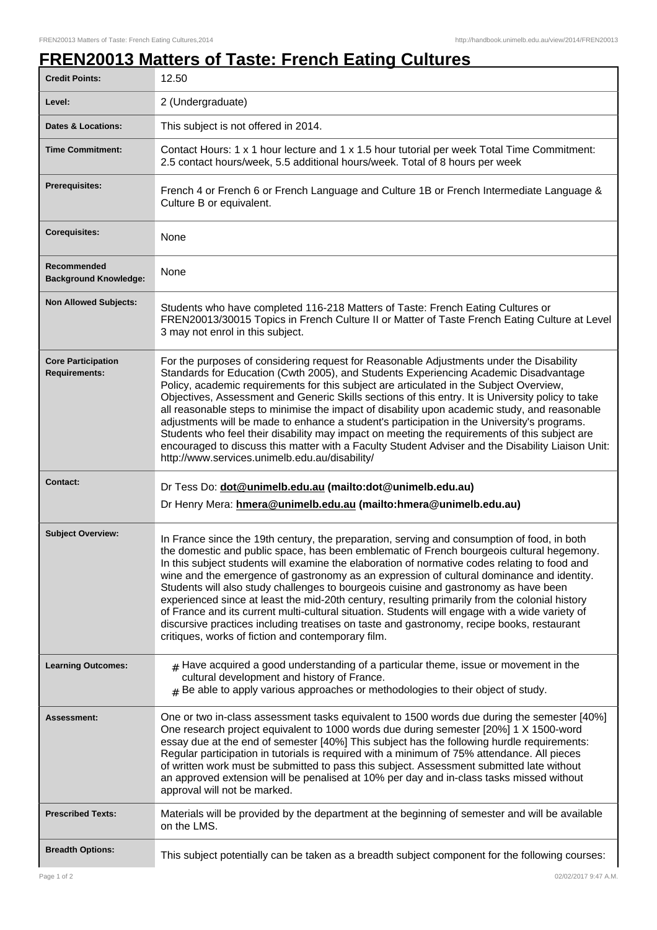٦

## **FREN20013 Matters of Taste: French Eating Cultures**

| <b>Credit Points:</b>                             | 12.50                                                                                                                                                                                                                                                                                                                                                                                                                                                                                                                                                                                                                                                                                                                                                                                                                                   |
|---------------------------------------------------|-----------------------------------------------------------------------------------------------------------------------------------------------------------------------------------------------------------------------------------------------------------------------------------------------------------------------------------------------------------------------------------------------------------------------------------------------------------------------------------------------------------------------------------------------------------------------------------------------------------------------------------------------------------------------------------------------------------------------------------------------------------------------------------------------------------------------------------------|
| Level:                                            | 2 (Undergraduate)                                                                                                                                                                                                                                                                                                                                                                                                                                                                                                                                                                                                                                                                                                                                                                                                                       |
| <b>Dates &amp; Locations:</b>                     | This subject is not offered in 2014.                                                                                                                                                                                                                                                                                                                                                                                                                                                                                                                                                                                                                                                                                                                                                                                                    |
| <b>Time Commitment:</b>                           | Contact Hours: 1 x 1 hour lecture and 1 x 1.5 hour tutorial per week Total Time Commitment:<br>2.5 contact hours/week, 5.5 additional hours/week. Total of 8 hours per week                                                                                                                                                                                                                                                                                                                                                                                                                                                                                                                                                                                                                                                             |
| <b>Prerequisites:</b>                             | French 4 or French 6 or French Language and Culture 1B or French Intermediate Language &<br>Culture B or equivalent.                                                                                                                                                                                                                                                                                                                                                                                                                                                                                                                                                                                                                                                                                                                    |
| <b>Corequisites:</b>                              | None                                                                                                                                                                                                                                                                                                                                                                                                                                                                                                                                                                                                                                                                                                                                                                                                                                    |
| Recommended<br><b>Background Knowledge:</b>       | None                                                                                                                                                                                                                                                                                                                                                                                                                                                                                                                                                                                                                                                                                                                                                                                                                                    |
| <b>Non Allowed Subjects:</b>                      | Students who have completed 116-218 Matters of Taste: French Eating Cultures or<br>FREN20013/30015 Topics in French Culture II or Matter of Taste French Eating Culture at Level<br>3 may not enrol in this subject.                                                                                                                                                                                                                                                                                                                                                                                                                                                                                                                                                                                                                    |
| <b>Core Participation</b><br><b>Requirements:</b> | For the purposes of considering request for Reasonable Adjustments under the Disability<br>Standards for Education (Cwth 2005), and Students Experiencing Academic Disadvantage<br>Policy, academic requirements for this subject are articulated in the Subject Overview,<br>Objectives, Assessment and Generic Skills sections of this entry. It is University policy to take<br>all reasonable steps to minimise the impact of disability upon academic study, and reasonable<br>adjustments will be made to enhance a student's participation in the University's programs.<br>Students who feel their disability may impact on meeting the requirements of this subject are<br>encouraged to discuss this matter with a Faculty Student Adviser and the Disability Liaison Unit:<br>http://www.services.unimelb.edu.au/disability/ |
|                                                   |                                                                                                                                                                                                                                                                                                                                                                                                                                                                                                                                                                                                                                                                                                                                                                                                                                         |
| <b>Contact:</b>                                   | Dr Tess Do: dot@unimelb.edu.au (mailto:dot@unimelb.edu.au)<br>Dr Henry Mera: hmera@unimelb.edu.au (mailto:hmera@unimelb.edu.au)                                                                                                                                                                                                                                                                                                                                                                                                                                                                                                                                                                                                                                                                                                         |
| <b>Subject Overview:</b>                          | In France since the 19th century, the preparation, serving and consumption of food, in both<br>the domestic and public space, has been emblematic of French bourgeois cultural hegemony.<br>In this subject students will examine the elaboration of normative codes relating to food and<br>wine and the emergence of gastronomy as an expression of cultural dominance and identity.<br>Students will also study challenges to bourgeois cuisine and gastronomy as have been<br>experienced since at least the mid-20th century, resulting primarily from the colonial history<br>of France and its current multi-cultural situation. Students will engage with a wide variety of<br>discursive practices including treatises on taste and gastronomy, recipe books, restaurant<br>critiques, works of fiction and contemporary film. |
| <b>Learning Outcomes:</b>                         | $#$ Have acquired a good understanding of a particular theme, issue or movement in the<br>cultural development and history of France.<br>$#$ Be able to apply various approaches or methodologies to their object of study.                                                                                                                                                                                                                                                                                                                                                                                                                                                                                                                                                                                                             |
| Assessment:                                       | One or two in-class assessment tasks equivalent to 1500 words due during the semester [40%]<br>One research project equivalent to 1000 words due during semester [20%] 1 X 1500-word<br>essay due at the end of semester [40%] This subject has the following hurdle requirements:<br>Regular participation in tutorials is required with a minimum of 75% attendance. All pieces<br>of written work must be submitted to pass this subject. Assessment submitted late without<br>an approved extension will be penalised at 10% per day and in-class tasks missed without<br>approval will not be marked.                                                                                                                                                                                                                              |
| <b>Prescribed Texts:</b>                          | Materials will be provided by the department at the beginning of semester and will be available<br>on the LMS.                                                                                                                                                                                                                                                                                                                                                                                                                                                                                                                                                                                                                                                                                                                          |